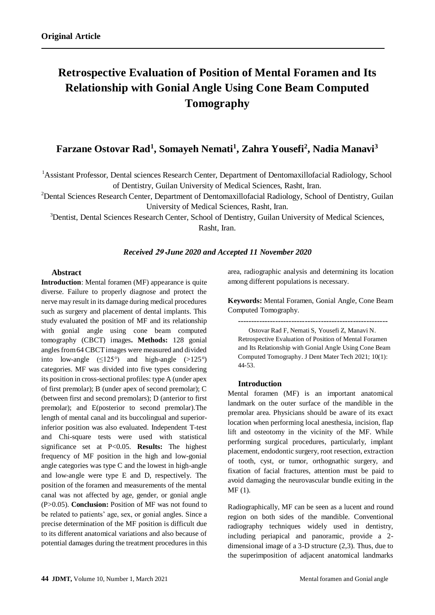# **Retrospective Evaluation of Position of Mental Foramen and Its Relationship with Gonial Angle Using Cone Beam Computed Tomography**

# **Farzane Ostovar Rad<sup>1</sup> , Somayeh Nemati<sup>1</sup> , Zahra Yousefi<sup>2</sup> , Nadia Manavi<sup>3</sup>**

<sup>1</sup>Assistant Professor, Dental sciences Research Center, Department of Dentomaxillofacial Radiology, School of Dentistry, Guilan University of Medical Sciences, Rasht, Iran.

<sup>2</sup>Dental Sciences Research Center, Department of Dentomaxillofacial Radiology, School of Dentistry, Guilan University of Medical Sciences, Rasht, Iran.

<sup>3</sup>Dentist, Dental Sciences Research Center, School of Dentistry, Guilan University of Medical Sciences, Rasht, Iran.

# *Received* **<sup>29</sup> <sup>ـ</sup>***June 2020 and Accepted 11 November 2020*

# **Abstract**

**Introduction**: Mental foramen (MF) appearance is quite diverse. Failure to properly diagnose and protect the nerve may result in its damage during medical procedures such as surgery and placement of dental implants. This study evaluated the position of MF and its relationship with gonial angle using cone beam computed tomography (CBCT) images**. Methods:** 128 gonial angles from 64 CBCT images were measured and divided into low-angle  $(\leq 125^\circ)$  and high-angle  $(>125^\circ)$ categories. MF was divided into five types considering its position in cross-sectional profiles: type A (under apex of first premolar); B (under apex of second premolar); C (between first and second premolars); D (anterior to first premolar); and E(posterior to second premolar).The length of mental canal and its buccolingual and superiorinferior position was also evaluated. Independent T-test and Chi-square tests were used with statistical significance set at P<0.05. **Results:** The highest frequency of MF position in the high and low-gonial angle categories was type C and the lowest in high-angle and low-angle were type E and D, respectively. The position of the foramen and measurements of the mental canal was not affected by age, gender, or gonial angle (P>0.05). **Conclusion:** Position of MF was not found to be related to patients' age, sex, or gonial angles. Since a precise determination of the MF position is difficult due to its different anatomical variations and also because of potential damages during the treatment procedures in this area, radiographic analysis and determining its location among different populations is necessary.

**Keywords:** Mental Foramen, Gonial Angle, Cone Beam Computed Tomography.

--------------------------------------------------------

Ostovar Rad F, Nemati S, Yousefi Z, Manavi N. Retrospective Evaluation of Position of Mental Foramen and Its Relationship with Gonial Angle Using Cone Beam Computed Tomography. J Dent Mater Tech 2021; 10(1): 44-53.

### **Introduction**

Mental foramen (MF) is an important anatomical landmark on the outer surface of the mandible in the premolar area. Physicians should be aware of its exact location when performing local anesthesia, incision, flap lift and osteotomy in the vicinity of the MF. While performing surgical procedures, particularly, implant placement, endodontic surgery, root resection, extraction of tooth, cyst, or tumor, orthognathic surgery, and fixation of facial fractures, attention must be paid to avoid damaging the neurovascular bundle exiting in the MF (1).

Radiographically, MF can be seen as a lucent and round region on both sides of the mandible. Conventional radiography techniques widely used in dentistry, including periapical and panoramic, provide a 2 dimensional image of a 3-D structure (2,3). Thus, due to the superimposition of adjacent anatomical landmarks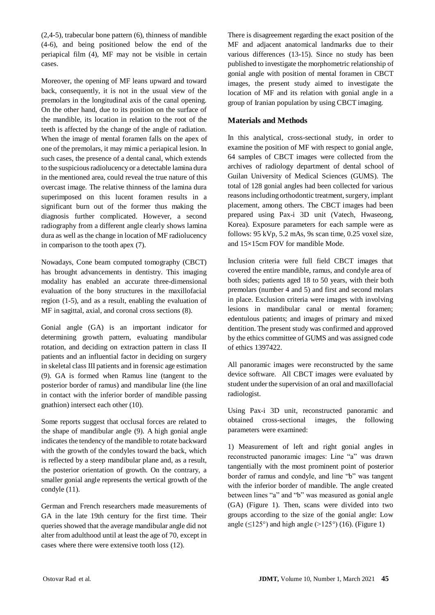(2,4-5), trabecular bone pattern (6), thinness of mandible (4-6), and being positioned below the end of the periapical film (4), MF may not be visible in certain cases.

Moreover, the opening of MF leans upward and toward back, consequently, it is not in the usual view of the premolars in the longitudinal axis of the canal opening. On the other hand, due to its position on the surface of the mandible, its location in relation to the root of the teeth is affected by the change of the angle of radiation. When the image of mental foramen falls on the apex of one of the premolars, it may mimic a periapical lesion. In such cases, the presence of a dental canal, which extends to the suspicious radiolucency or a detectable lamina dura in the mentioned area, could reveal the true nature of this overcast image. The relative thinness of the lamina dura superimposed on this lucent foramen results in a significant burn out of the former thus making the diagnosis further complicated. However, a second radiography from a different angle clearly shows lamina dura as well as the change in location of MF radiolucency in comparison to the tooth apex (7).

Nowadays, Cone beam computed tomography (CBCT) has brought advancements in dentistry. This imaging modality has enabled an accurate three-dimensional evaluation of the bony structures in the maxillofacial region (1-5), and as a result, enabling the evaluation of MF in sagittal, axial, and coronal cross sections (8).

Gonial angle (GA) is an important indicator for determining growth pattern, evaluating mandibular rotation, and deciding on extraction pattern in class II patients and an influential factor in deciding on surgery in skeletal class III patients and in forensic age estimation (9). GA is formed when Ramus line (tangent to the posterior border of ramus) and mandibular line (the line in contact with the inferior border of mandible passing gnathion) intersect each other (10).

Some reports suggest that occlusal forces are related to the shape of mandibular angle (9). A high gonial angle indicates the tendency of the mandible to rotate backward with the growth of the condyles toward the back, which is reflected by a steep mandibular plane and, as a result, the posterior orientation of growth. On the contrary, a smaller gonial angle represents the vertical growth of the condyle (11).

German and French researchers made measurements of GA in the late 19th century for the first time. Their queries showed that the average mandibular angle did not alter from adulthood until at least the age of 70, except in cases where there were extensive tooth loss (12).

There is disagreement regarding the exact position of the MF and adjacent anatomical landmarks due to their various differences (13-15). Since no study has been published to investigate the morphometric relationship of gonial angle with position of mental foramen in CBCT images, the present study aimed to investigate the location of MF and its relation with gonial angle in a group of Iranian population by using CBCT imaging.

# **Materials and Methods**

In this analytical, cross-sectional study, in order to examine the position of MF with respect to gonial angle, 64 samples of CBCT images were collected from the archives of radiology department of dental school of Guilan University of Medical Sciences (GUMS). The total of 128 gonial angles had been collected for various reasons including orthodontic treatment, surgery, implant placement, among others. The CBCT images had been prepared using Pax-i 3D unit (Vatech, Hwaseong, Korea). Exposure parameters for each sample were as follows: 95 kVp, 5.2 mAs, 9s scan time, 0.25 voxel size, and 15×15cm FOV for mandible Mode.

Inclusion criteria were full field CBCT images that covered the entire mandible, ramus, and condyle area of both sides; patients aged 18 to 50 years, with their both premolars (number 4 and 5) and first and second molars in place. Exclusion criteria were images with involving lesions in mandibular canal or mental foramen; edentulous patients; and images of primary and mixed dentition. The present study was confirmed and approved by the ethics committee of GUMS and was assigned code of ethics 1397422.

All panoramic images were reconstructed by the same device software. All CBCT images were evaluated by student under the supervision of an oral and maxillofacial radiologist.

Using Pax-i 3D unit, reconstructed panoramic and obtained cross-sectional images, the following parameters were examined:

1) Measurement of left and right gonial angles in reconstructed panoramic images: Line "a" was drawn tangentially with the most prominent point of posterior border of ramus and condyle, and line "b" was tangent with the inferior border of mandible. The angle created between lines "a" and "b" was measured as gonial angle (GA) (Figure 1). Then, scans were divided into two groups according to the size of the gonial angle: Low angle ( $\leq$ 125°) and high angle (>125°) (16). (Figure 1)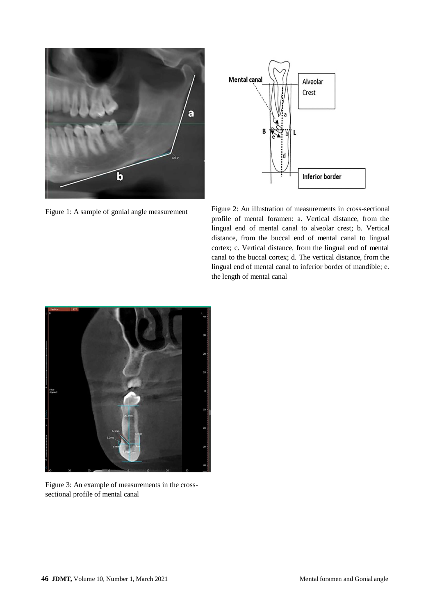



Figure 1: A sample of gonial angle measurement Figure 2: An illustration of measurements in cross-sectional profile of mental foramen: a. Vertical distance, from the lingual end of mental canal to alveolar crest; b. Vertical distance, from the buccal end of mental canal to lingual cortex; c. Vertical distance, from the lingual end of mental canal to the buccal cortex; d. The vertical distance, from the lingual end of mental canal to inferior border of mandible; e. the length of mental canal



Figure 3: An example of measurements in the crosssectional profile of mental canal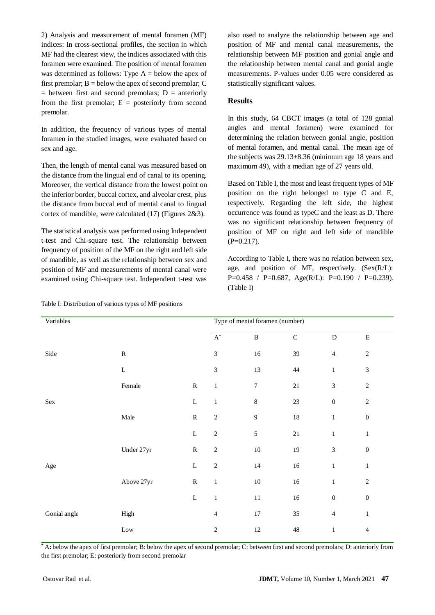2) Analysis and measurement of mental foramen (MF) indices: In cross-sectional profiles, the section in which MF had the clearest view, the indices associated with this foramen were examined. The position of mental foramen was determined as follows: Type  $A =$  below the apex of first premolar;  $B =$  below the apex of second premolar;  $C$  $=$  between first and second premolars;  $D =$  anteriorly from the first premolar;  $E =$  posteriorly from second premolar.

In addition, the frequency of various types of mental foramen in the studied images, were evaluated based on sex and age.

Then, the length of mental canal was measured based on the distance from the lingual end of canal to its opening. Moreover, the vertical distance from the lowest point on the inferior border, buccal cortex, and alveolar crest, plus the distance from buccal end of mental canal to lingual cortex of mandible, were calculated (17) (Figures 2&3).

The statistical analysis was performed using Independent t-test and Chi-square test. The relationship between frequency of position of the MF on the right and left side of mandible, as well as the relationship between sex and position of MF and measurements of mental canal were examined using Chi-square test. Independent t-test was also used to analyze the relationship between age and position of MF and mental canal measurements, the relationship between MF position and gonial angle and the relationship between mental canal and gonial angle measurements. P-values under 0.05 were considered as statistically significant values.

# **Results**

In this study, 64 CBCT images (a total of 128 gonial angles and mental foramen) were examined for determining the relation between gonial angle, position of mental foramen, and mental canal. The mean age of the subjects was 29.13±8.36 (minimum age 18 years and maximum 49), with a median age of 27 years old.

Based on Table I, the most and least frequent types of MF position on the right belonged to type C and E, respectively. Regarding the left side, the highest occurrence was found as typeC and the least as D. There was no significant relationship between frequency of position of MF on right and left side of mandible  $(P=0.217)$ .

According to Table I, there was no relation between sex, age, and position of MF, respectively.  $(Sex(R/L))$ : P=0.458 / P=0.687, Age(R/L): P=0.190 / P=0.239). (Table I)

| Variables    |              |             | Type of mental foramen (number) |                         |                |                  |                  |  |
|--------------|--------------|-------------|---------------------------------|-------------------------|----------------|------------------|------------------|--|
|              |              |             | $A^*$                           | $\overline{\mathbf{B}}$ | $\overline{C}$ | $\overline{D}$   | $\overline{E}$   |  |
| Side         | ${\bf R}$    |             | 3                               | $16\,$                  | 39             | $\overline{4}$   | $\sqrt{2}$       |  |
|              | $\mathbf L$  |             | $\mathfrak{Z}$                  | 13                      | $44\,$         | $\mathbf{1}$     | $\mathfrak{Z}$   |  |
|              | Female       | ${\bf R}$   | $\,1\,$                         | $\boldsymbol{7}$        | 21             | 3                | $\sqrt{2}$       |  |
| Sex          |              | $\mathbf L$ | $\,1\,$                         | $\,$ $\,$               | $23\,$         | $\boldsymbol{0}$ | $\sqrt{2}$       |  |
|              | Male         | ${\bf R}$   | $\sqrt{2}$                      | $\overline{9}$          | $18\,$         | $\,1\,$          | $\boldsymbol{0}$ |  |
|              |              | $\mathbf L$ | $\sqrt{2}$                      | 5                       | $21\,$         | $\mathbf{1}$     | $\mathbf{1}$     |  |
|              | Under 27yr   | ${\bf R}$   | $\sqrt{2}$                      | $10\,$                  | $19\,$         | 3                | $\boldsymbol{0}$ |  |
| $\rm Age$    |              | $\mathbf L$ | $\sqrt{2}$                      | $14\,$                  | $16\,$         | $\mathbf{1}$     | $\mathbf{1}$     |  |
|              | Above 27yr   | ${\bf R}$   | $\,1\,$                         | $10\,$                  | $16\,$         | $\,1\,$          | $\sqrt{2}$       |  |
|              |              | $\mathbf L$ | $\mathbf 1$                     | $11\,$                  | $16\,$         | $\boldsymbol{0}$ | $\boldsymbol{0}$ |  |
| Gonial angle | High         |             | $\overline{\mathbf{4}}$         | $17\,$                  | 35             | $\overline{4}$   | $\,1$            |  |
|              | $_{\rm Low}$ |             | $\sqrt{2}$                      | $12\,$                  | $\sqrt{48}$    | $\,1$            | $\overline{4}$   |  |

Table I: Distribution of various types of MF positions

**\*** A**:** below the apex of first premolar; B: below the apex of second premolar; C: between first and second premolars; D: anteriorly from the first premolar; E: posteriorly from second premolar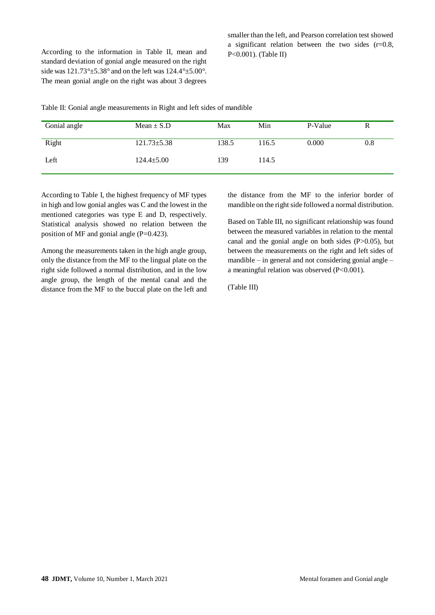According to the information in Table II, mean and standard deviation of gonial angle measured on the right side was  $121.73^{\circ} \pm 5.38^{\circ}$  and on the left was  $124.4^{\circ} \pm 5.00^{\circ}$ . The mean gonial angle on the right was about 3 degrees smaller than the left, and Pearson correlation test showed a significant relation between the two sides  $(r=0.8,$ P<0.001). (Table II)

Table II: Gonial angle measurements in Right and left sides of mandible

| Gonial angle | Mean $\pm$ S.D    | Max   | Min   | P-Value | R   |
|--------------|-------------------|-------|-------|---------|-----|
| Right        | $121.73 \pm 5.38$ | 138.5 | 116.5 | 0.000   | 0.8 |
| Left         | $124.4 \pm 5.00$  | 139   | 114.5 |         |     |

According to Table I, the highest frequency of MF types in high and low gonial angles was C and the lowest in the mentioned categories was type E and D, respectively. Statistical analysis showed no relation between the position of MF and gonial angle (P=0.423).

Among the measurements taken in the high angle group, only the distance from the MF to the lingual plate on the right side followed a normal distribution, and in the low angle group, the length of the mental canal and the distance from the MF to the buccal plate on the left and the distance from the MF to the inferior border of mandible on the right side followed a normal distribution.

Based on Table III, no significant relationship was found between the measured variables in relation to the mental canal and the gonial angle on both sides  $(P>0.05)$ , but between the measurements on the right and left sides of mandible – in general and not considering gonial angle – a meaningful relation was observed (P<0.001).

(Table III)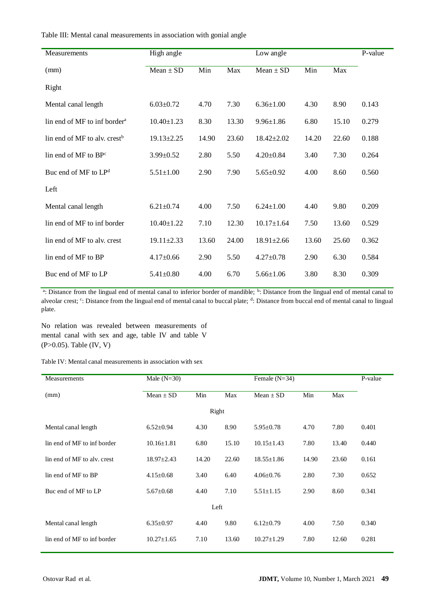Table III: Mental canal measurements in association with gonial angle

| Measurements                             | High angle       |       |       | Low angle        |       |       | P-value |
|------------------------------------------|------------------|-------|-------|------------------|-------|-------|---------|
| (mm)                                     | $Mean \pm SD$    | Min   | Max   | $Mean \pm SD$    | Min   | Max   |         |
| Right                                    |                  |       |       |                  |       |       |         |
| Mental canal length                      | $6.03 \pm 0.72$  | 4.70  | 7.30  | $6.36 \pm 1.00$  | 4.30  | 8.90  | 0.143   |
| lin end of MF to inf border <sup>a</sup> | $10.40 \pm 1.23$ | 8.30  | 13.30 | $9.96 \pm 1.86$  | 6.80  | 15.10 | 0.279   |
| lin end of MF to alv. crest <sup>b</sup> | $19.13 \pm 2.25$ | 14.90 | 23.60 | $18.42 \pm 2.02$ | 14.20 | 22.60 | 0.188   |
| lin end of MF to BP <sup>c</sup>         | $3.99 \pm 0.52$  | 2.80  | 5.50  | $4.20 \pm 0.84$  | 3.40  | 7.30  | 0.264   |
| Buc end of MF to $LPd$                   | $5.51 \pm 1.00$  | 2.90  | 7.90  | $5.65 \pm 0.92$  | 4.00  | 8.60  | 0.560   |
| Left                                     |                  |       |       |                  |       |       |         |
| Mental canal length                      | $6.21 \pm 0.74$  | 4.00  | 7.50  | $6.24 \pm 1.00$  | 4.40  | 9.80  | 0.209   |
| lin end of MF to inf border              | $10.40 \pm 1.22$ | 7.10  | 12.30 | $10.17 \pm 1.64$ | 7.50  | 13.60 | 0.529   |
| lin end of MF to alv. crest              | $19.11 \pm 2.33$ | 13.60 | 24.00 | $18.91 \pm 2.66$ | 13.60 | 25.60 | 0.362   |
| lin end of MF to BP                      | $4.17 \pm 0.66$  | 2.90  | 5.50  | $4.27 \pm 0.78$  | 2.90  | 6.30  | 0.584   |
| Buc end of MF to LP                      | $5.41 \pm 0.80$  | 4.00  | 6.70  | $5.66 \pm 1.06$  | 3.80  | 8.30  | 0.309   |

<sup>a</sup>: Distance from the lingual end of mental canal to inferior border of mandible; <sup>b</sup>: Distance from the lingual end of mental canal to alveolar crest; <sup>c</sup>: Distance from the lingual end of mental canal to buccal plate; <sup>d</sup>: Distance from buccal end of mental canal to lingual plate.

No relation was revealed between measurements of mental canal with sex and age, table IV and table V (P>0.05). Table (IV, V)

Table IV: Mental canal measurements in association with sex

| Measurements                | Male $(N=30)$    |       |       | Female $(N=34)$  | P-value |       |       |
|-----------------------------|------------------|-------|-------|------------------|---------|-------|-------|
| (mm)                        | Mean $\pm$ SD    | Min   | Max   | Mean $\pm$ SD    | Min     | Max   |       |
|                             |                  | Right |       |                  |         |       |       |
| Mental canal length         | $6.52 \pm 0.94$  | 4.30  | 8.90  | $5.95 \pm 0.78$  | 4.70    | 7.80  | 0.401 |
| lin end of MF to inf border | $10.16 \pm 1.81$ | 6.80  | 15.10 | $10.15 \pm 1.43$ | 7.80    | 13.40 | 0.440 |
| lin end of MF to alv. crest | $18.97 \pm 2.43$ | 14.20 | 22.60 | $18.55 \pm 1.86$ | 14.90   | 23.60 | 0.161 |
| lin end of MF to BP         | $4.15 \pm 0.68$  | 3.40  | 6.40  | $4.06 \pm 0.76$  | 2.80    | 7.30  | 0.652 |
| Buc end of MF to LP         | $5.67 \pm 0.68$  | 4.40  | 7.10  | $5.51 \pm 1.15$  | 2.90    | 8.60  | 0.341 |
|                             |                  | Left  |       |                  |         |       |       |
| Mental canal length         | $6.35 \pm 0.97$  | 4.40  | 9.80  | $6.12 \pm 0.79$  | 4.00    | 7.50  | 0.340 |
| lin end of MF to inf border | $10.27 \pm 1.65$ | 7.10  | 13.60 | $10.27 \pm 1.29$ | 7.80    | 12.60 | 0.281 |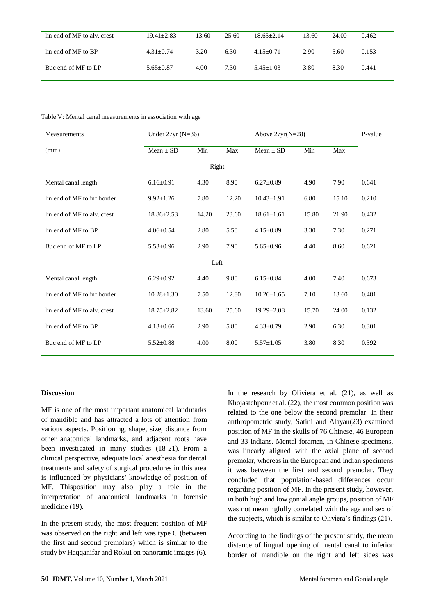| lin end of MF to alv. crest | $19.41 + 2.83$ | 13.60 | 25.60 | $18.65 + 2.14$ | 13.60 | 24.00 | 0.462 |
|-----------------------------|----------------|-------|-------|----------------|-------|-------|-------|
| lin end of MF to BP         | $4.31 + 0.74$  | 3.20  | 6.30  | $4.15 + 0.71$  | 2.90  | 5.60  | 0.153 |
| Buc end of MF to LP         | $5.65 + 0.87$  | 4.00  | 7.30  | $5.45 + 1.03$  | 3.80  | 8.30  | 0.441 |

Table V: Mental canal measurements in association with age

| Measurements                | Under $27yr$ (N=36) |       |       | Above $27yr(N=28)$ | P-value |       |       |
|-----------------------------|---------------------|-------|-------|--------------------|---------|-------|-------|
| (mm)                        | Mean $\pm$ SD       | Min   | Max   | Mean $\pm$ SD      | Min     | Max   |       |
|                             |                     | Right |       |                    |         |       |       |
| Mental canal length         | $6.16 \pm 0.91$     | 4.30  | 8.90  | $6.27 \pm 0.89$    | 4.90    | 7.90  | 0.641 |
| lin end of MF to inf border | $9.92 \pm 1.26$     | 7.80  | 12.20 | $10.43 \pm 1.91$   | 6.80    | 15.10 | 0.210 |
| lin end of MF to alv. crest | $18.86 \pm 2.53$    | 14.20 | 23.60 | $18.61 \pm 1.61$   | 15.80   | 21.90 | 0.432 |
| lin end of MF to BP         | $4.06 \pm 0.54$     | 2.80  | 5.50  | $4.15 \pm 0.89$    | 3.30    | 7.30  | 0.271 |
| Buc end of MF to LP         | $5.53 \pm 0.96$     | 2.90  | 7.90  | $5.65 \pm 0.96$    | 4.40    | 8.60  | 0.621 |
|                             |                     | Left  |       |                    |         |       |       |
| Mental canal length         | $6.29 \pm 0.92$     | 4.40  | 9.80  | $6.15 \pm 0.84$    | 4.00    | 7.40  | 0.673 |
| lin end of MF to inf border | $10.28 \pm 1.30$    | 7.50  | 12.80 | $10.26 \pm 1.65$   | 7.10    | 13.60 | 0.481 |
| lin end of MF to alv. crest | $18.75 \pm 2.82$    | 13.60 | 25.60 | $19.29 \pm 2.08$   | 15.70   | 24.00 | 0.132 |
| lin end of MF to BP         | $4.13 \pm 0.66$     | 2.90  | 5.80  | $4.33 \pm 0.79$    | 2.90    | 6.30  | 0.301 |
| Buc end of MF to LP         | $5.52 \pm 0.88$     | 4.00  | 8.00  | $5.57 \pm 1.05$    | 3.80    | 8.30  | 0.392 |

#### **Discussion**

MF is one of the most important anatomical landmarks of mandible and has attracted a lots of attention from various aspects. Positioning, shape, size, distance from other anatomical landmarks, and adjacent roots have been investigated in many studies (18-21). From a clinical perspective, adequate local anesthesia for dental treatments and safety of surgical procedures in this area is influenced by physicians' knowledge of position of MF. Thisposition may also play a role in the interpretation of anatomical landmarks in forensic medicine (19).

In the present study, the most frequent position of MF was observed on the right and left was type C (between the first and second premolars) which is similar to the study by Haqqanifar and Rokui on panoramic images (6).

In the research by Oliviera et al. (21), as well as Khojastehpour et al. (22), the most common position was related to the one below the second premolar. In their anthropometric study, Satini and Alayan(23) examined position of MF in the skulls of 76 Chinese, 46 European and 33 Indians. Mental foramen, in Chinese specimens, was linearly aligned with the axial plane of second premolar, whereas in the European and Indian specimens it was between the first and second premolar. They concluded that population-based differences occur regarding position of MF. In the present study, however, in both high and low gonial angle groups, position of MF was not meaningfully correlated with the age and sex of the subjects, which is similar to Oliviera's findings (21).

According to the findings of the present study, the mean distance of lingual opening of mental canal to inferior border of mandible on the right and left sides was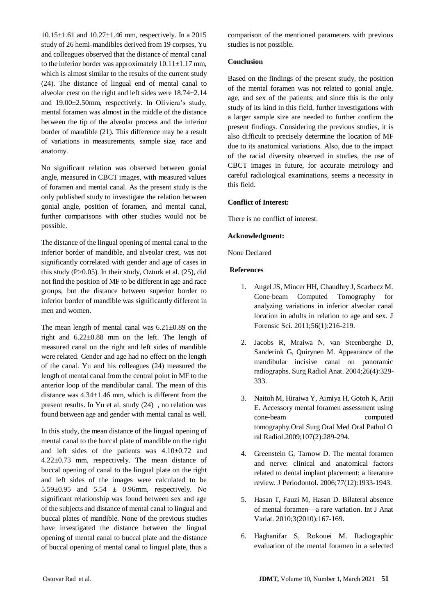10.15±1.61 and 10.27±1.46 mm, respectively. In a 2015 study of 26 hemi-mandibles derived from 19 corpses, Yu and colleagues observed that the distance of mental canal to the inferior border was approximately  $10.11 \pm 1.17$  mm, which is almost similar to the results of the current study (24). The distance of lingual end of mental canal to alveolar crest on the right and left sides were 18.74±2.14 and 19.00±2.50mm, respectively. In Oliviera's study, mental foramen was almost in the middle of the distance between the tip of the alveolar process and the inferior border of mandible (21). This difference may be a result of variations in measurements, sample size, race and anatomy.

No significant relation was observed between gonial angle, measured in CBCT images, with measured values of foramen and mental canal. As the present study is the only published study to investigate the relation between gonial angle, position of foramen, and mental canal, further comparisons with other studies would not be possible.

The distance of the lingual opening of mental canal to the inferior border of mandible, and alveolar crest, was not significantly correlated with gender and age of cases in this study (P>0.05). In their study, Ozturk et al. (25), did not find the position of MF to be different in age and race groups, but the distance between superior border to inferior border of mandible was significantly different in men and women.

The mean length of mental canal was  $6.21 \pm 0.89$  on the right and 6.22±0.88 mm on the left. The length of measured canal on the right and left sides of mandible were related. Gender and age had no effect on the length of the canal. Yu and his colleagues (24) measured the length of mental canal from the central point in MF to the anterior loop of the mandibular canal. The mean of this distance was  $4.34 \pm 1.46$  mm, which is different from the present results. In Yu et al. study (24) , no relation was found between age and gender with mental canal as well.

In this study, the mean distance of the lingual opening of mental canal to the buccal plate of mandible on the right and left sides of the patients was 4.10±0.72 and 4.22±0.73 mm, respectively. The mean distance of buccal opening of canal to the lingual plate on the right and left sides of the images were calculated to be  $5.59\pm0.95$  and  $5.54 \pm 0.96$  mm, respectively. No significant relationship was found between sex and age of the subjects and distance of mental canal to lingual and buccal plates of mandible. None of the previous studies have investigated the distance between the lingual opening of mental canal to buccal plate and the distance of buccal opening of mental canal to lingual plate, thus a comparison of the mentioned parameters with previous studies is not possible.

# **Conclusion**

Based on the findings of the present study, the position of the mental foramen was not related to gonial angle, age, and sex of the patients; and since this is the only study of its kind in this field, further investigations with a larger sample size are needed to further confirm the present findings. Considering the previous studies, it is also difficult to precisely determine the location of MF due to its anatomical variations. Also, due to the impact of the racial diversity observed in studies, the use of CBCT images in future, for accurate metrology and careful radiological examinations, seems a necessity in this field.

# **Conflict of Interest:**

There is no conflict of interest.

### **Acknowledgment:**

None Declared

# **References**

- 1. Angel JS, Mincer HH, Chaudhry J, Scarbecz M. Cone‐beam Computed Tomography for analyzing variations in inferior alveolar canal location in adults in relation to age and sex. J Forensic Sci. 2011;56(1):216-219.
- 2. Jacobs R, Mraiwa N, van Steenberghe D, Sanderink G, Quirynen M. Appearance of the mandibular incisive canal on panoramic radiographs. Surg Radiol Anat. 2004;26(4):329- 333.
- 3. Naitoh M, Hiraiwa Y, Aimiya H, Gotoh K, Ariji E. Accessory mental foramen assessment using cone-beam computed tomography.Oral Surg Oral Med Oral Pathol O ral Radiol.2009;107(2):289-294.
- 4. Greenstein G, Tarnow D. The mental foramen and nerve: clinical and anatomical factors related to dental implant placement: a literature review. J Periodontol. 2006;77(12):1933-1943.
- 5. Hasan T, Fauzi M, Hasan D. Bilateral absence of mental foramen—a rare variation. Int J Anat Variat. 2010;3(2010):167-169.
- 6. Haghanifar S, Rokouei M. Radiographic evaluation of the mental foramen in a selected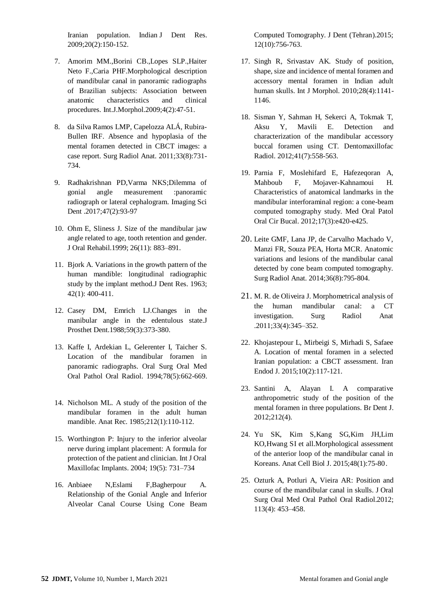Iranian population. Indian J Dent Res. 2009;20(2):150-152.

- 7. Amorim MM.,Borini CB.,Lopes SLP.,Haiter Neto F.,Caria PHF.Morphological description of mandibular canal in panoramic radiographs of Brazilian subjects: Association between anatomic characteristics and clinical procedures. Int.J.Morphol.2009;4(2):47-51.
- 8. da Silva Ramos LMP, Capelozza ALÁ, Rubira-Bullen IRF. Absence and hypoplasia of the mental foramen detected in CBCT images: a case report. Surg Radiol Anat. 2011;33(8):731- 734.
- 9. Radhakrishnan PD,Varma NKS;Dilemma of gonial angle measurement :panoramic radiograph or lateral cephalogram. Imaging Sci Dent .2017;47(2):93-97
- 10. Ohm E, Sliness J. Size of the mandibular jaw angle related to age, tooth retention and gender. J Oral Rehabil.1999; 26(11): 883–891.
- 11. Bjork A. Variations in the growth pattern of the human mandible: longitudinal radiographic study by the implant method.J Dent Res. 1963; 42(1): 400-411.
- 12. Casey DM, Emrich LJ.Changes in the manibular angle in the edentulous state.J Prosthet Dent.1988;59(3):373-380.
- 13. Kaffe I, Ardekian L, Gelerenter I, Taicher S. Location of the mandibular foramen in panoramic radiographs. Oral Surg Oral Med Oral Pathol Oral Radiol. 1994;78(5):662-669.
- 14. Nicholson ML. A study of the position of the mandibular foramen in the adult human mandible. Anat Rec. 1985;212(1):110-112.
- 15. Worthington P: Injury to the inferior alveolar nerve during implant placement: A formula for protection of the patient and clinician. Int J Oral Maxillofac Implants. 2004; 19(5): 731–734
- 16. Anbiaee N,Eslami F,Bagherpour A. Relationship of the Gonial Angle and Inferior Alveolar Canal Course Using Cone Beam

Computed Tomography. J Dent (Tehran).2015; 12(10):756-763.

- 17. Singh R, Srivastav AK. Study of position, shape, size and incidence of mental foramen and accessory mental foramen in Indian adult human skulls. Int J Morphol. 2010;28(4):1141- 1146.
- 18. Sisman Y, Sahman H, Sekerci A, Tokmak T, Aksu Y, Mavili E. Detection and characterization of the mandibular accessory buccal foramen using CT. Dentomaxillofac Radiol. 2012;41(7):558-563.
- 19. Parnia F, Moslehifard E, Hafezeqoran A, Mahboub F, Mojaver-Kahnamoui H. Characteristics of anatomical landmarks in the mandibular interforaminal region: a cone-beam computed tomography study. Med Oral Patol Oral Cir Bucal. 2012;17(3):e420-e425.
- 20. Leite GMF, Lana JP, de Carvalho Machado V, Manzi FR, Souza PEA, Horta MCR. Anatomic variations and lesions of the mandibular canal detected by cone beam computed tomography. Surg Radiol Anat. 2014;36(8):795-804.
- 21. M. R. de Oliveira J. Morphometrical analysis of the human mandibular canal: a CT investigation. Surg Radiol Anat .2011;33(4):345–352.
- 22. Khojastepour L, Mirbeigi S, Mirhadi S, Safaee A. Location of mental foramen in a selected Iranian population: a CBCT assessment. Iran Endod J. 2015;10(2):117-121.
- 23. Santini A, Alayan I. A comparative anthropometric study of the position of the mental foramen in three populations. Br Dent J. 2012;212(4).
- 24. Yu SK, Kim S,Kang SG,Kim JH,Lim KO,Hwang SI et all.Morphological assessment of the anterior loop of the mandibular canal in Koreans. Anat Cell Biol J. 2015;48(1):75-80.
- 25. Ozturk A, Potluri A, Vieira AR: Position and course of the mandibular canal in skulls. J Oral Surg Oral Med Oral Pathol Oral Radiol.2012; 113(4): 453–458.